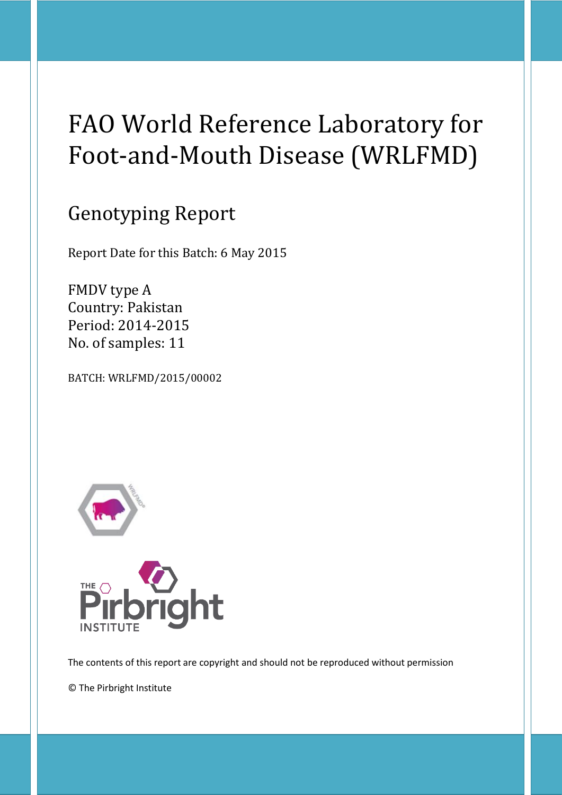# FAO World Reference Laboratory for Foot-and-Mouth Disease (WRLFMD)

## Genotyping Report

Report Date for this Batch: 6 May 2015

FMDV type A Country: Pakistan Period: 2014-2015 No. of samples: 11

BATCH: WRLFMD/2015/00002





The contents of this report are copyright and should not be reproduced without permission

© The Pirbright Institute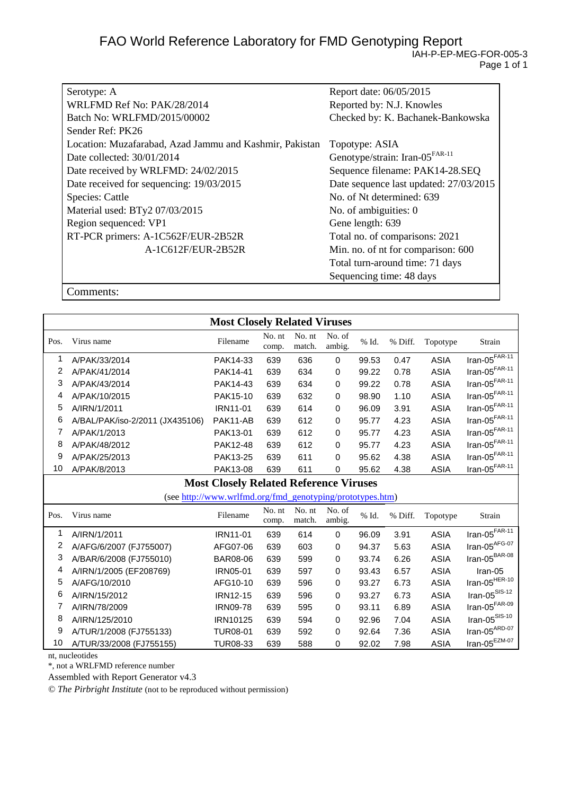| Serotype: A                                             | Report date: 06/05/2015                    |
|---------------------------------------------------------|--------------------------------------------|
| WRLFMD Ref No: PAK/28/2014                              | Reported by: N.J. Knowles                  |
| Batch No: WRLFMD/2015/00002                             | Checked by: K. Bachanek-Bankowska          |
| Sender Ref: PK26                                        |                                            |
| Location: Muzafarabad, Azad Jammu and Kashmir, Pakistan | Topotype: ASIA                             |
| Date collected: 30/01/2014                              | Genotype/strain: Iran-05 <sup>FAR-11</sup> |
| Date received by WRLFMD: 24/02/2015                     | Sequence filename: PAK14-28.SEQ            |
| Date received for sequencing: 19/03/2015                | Date sequence last updated: 27/03/2015     |
| <b>Species: Cattle</b>                                  | No. of Nt determined: 639                  |
| Material used: BTy2 07/03/2015                          | No. of ambiguities: 0                      |
| Region sequenced: VP1                                   | Gene length: 639                           |
| RT-PCR primers: A-1C562F/EUR-2B52R                      | Total no. of comparisons: 2021             |
| A-1C612F/EUR-2B52R                                      | Min. no. of nt for comparison: 600         |
|                                                         | Total turn-around time: 71 days            |
|                                                         | Sequencing time: 48 days                   |

Comments:

|                | <b>Most Closely Related Viruses</b>           |                                                           |                 |                  |                  |          |         |             |                                  |
|----------------|-----------------------------------------------|-----------------------------------------------------------|-----------------|------------------|------------------|----------|---------|-------------|----------------------------------|
| Pos.           | Virus name                                    | Filename                                                  | No. nt<br>comp. | No. nt<br>match. | No. of<br>ambig. | % Id.    | % Diff. | Topotype    | Strain                           |
| 1              | A/PAK/33/2014                                 | PAK14-33                                                  | 639             | 636              | $\Omega$         | 99.53    | 0.47    | <b>ASIA</b> | $Iran-05FAR-11$                  |
| $\overline{2}$ | A/PAK/41/2014                                 | PAK14-41                                                  | 639             | 634              | 0                | 99.22    | 0.78    | <b>ASIA</b> | $\text{Iran-05}^{\text{FAR-11}}$ |
| 3              | A/PAK/43/2014                                 | PAK14-43                                                  | 639             | 634              | 0                | 99.22    | 0.78    | <b>ASIA</b> | Iran-05 $F$ AR-11                |
| 4              | A/PAK/10/2015                                 | PAK15-10                                                  | 639             | 632              | 0                | 98.90    | 1.10    | <b>ASIA</b> | Iran-05 $F$ AR-11                |
| 5              | A/IRN/1/2011                                  | IRN11-01                                                  | 639             | 614              | 0                | 96.09    | 3.91    | <b>ASIA</b> | Iran-05 $F$ AR-11                |
| 6              | A/BAL/PAK/iso-2/2011 (JX435106)               | PAK11-AB                                                  | 639             | 612              | 0                | 95.77    | 4.23    | <b>ASIA</b> | Iran-05 $F$ AR-11                |
| 7              | A/PAK/1/2013                                  | PAK13-01                                                  | 639             | 612              | 0                | 95.77    | 4.23    | <b>ASIA</b> | Iran-05 $F$ AR-11                |
| 8              | A/PAK/48/2012                                 | PAK12-48                                                  | 639             | 612              | 0                | 95.77    | 4.23    | <b>ASIA</b> | Iran-05 $F$ AR-11                |
| 9              | A/PAK/25/2013                                 | PAK13-25                                                  | 639             | 611              | 0                | 95.62    | 4.38    | <b>ASIA</b> | Iran-05 $F$ AR-11                |
| 10             | A/PAK/8/2013                                  | PAK13-08                                                  | 639             | 611              | 0                | 95.62    | 4.38    | <b>ASIA</b> | $Iran-05FAR-11$                  |
|                | <b>Most Closely Related Reference Viruses</b> |                                                           |                 |                  |                  |          |         |             |                                  |
|                |                                               | (see http://www.wrlfmd.org/fmd_genotyping/prototypes.htm) |                 |                  |                  |          |         |             |                                  |
| Pos.           | Virus name                                    | Filename                                                  | No. nt<br>comp. | No. nt<br>match. | No. of<br>ambig. | $\%$ Id. | % Diff. | Topotype    | Strain                           |
| 1              | A/IRN/1/2011                                  | <b>IRN11-01</b>                                           | 639             | 614              | 0                | 96.09    | 3.91    | <b>ASIA</b> | $Iran-05F AR-11$                 |
| 2              | A/AFG/6/2007 (FJ755007)                       | AFG07-06                                                  | 639             | 603              | 0                | 94.37    | 5.63    | <b>ASIA</b> | Iran-05 $AFG-07$                 |
| 3              | A/BAR/6/2008 (FJ755010)                       | <b>BAR08-06</b>                                           | 639             | 599              | 0                | 93.74    | 6.26    | <b>ASIA</b> | Iran-05 <sup>BAR-08</sup>        |
| 4              | A/IRN/1/2005 (EF208769)                       | <b>IRN05-01</b>                                           | 639             | 597              | 0                | 93.43    | 6.57    | <b>ASIA</b> | Iran-05                          |
| 5              | A/AFG/10/2010                                 | AFG10-10                                                  | 639             | 596              | 0                | 93.27    | 6.73    | <b>ASIA</b> | Iran-05 $^{HER-10}$              |
| 6              | A/IRN/15/2012                                 | <b>IRN12-15</b>                                           | 639             | 596              | 0                | 93.27    | 6.73    | <b>ASIA</b> | $\text{Iran-05}^{\text{SIS-12}}$ |
| 7              | A/IRN/78/2009                                 | <b>IRN09-78</b>                                           | 639             | 595              | 0                | 93.11    | 6.89    | <b>ASIA</b> | $\text{Iran-05}^{\text{FAR-09}}$ |
| 8              | A/IRN/125/2010                                | IRN10125                                                  | 639             | 594              | 0                | 92.96    | 7.04    | <b>ASIA</b> | $\text{Iran-05}^{\text{SIS-10}}$ |
| 9              | A/TUR/1/2008 (FJ755133)                       | <b>TUR08-01</b>                                           | 639             | 592              | 0                | 92.64    | 7.36    | <b>ASIA</b> | Iran-05 $^{ARD-07}$              |
| 10             | A/TUR/33/2008 (FJ755155)                      | <b>TUR08-33</b>                                           | 639             | 588              | 0                | 92.02    | 7.98    | <b>ASIA</b> | $Iran-05^{EZM-07}$               |

nt, nucleotides

\*, not a WRLFMD reference number

Assembled with Report Generator v4.3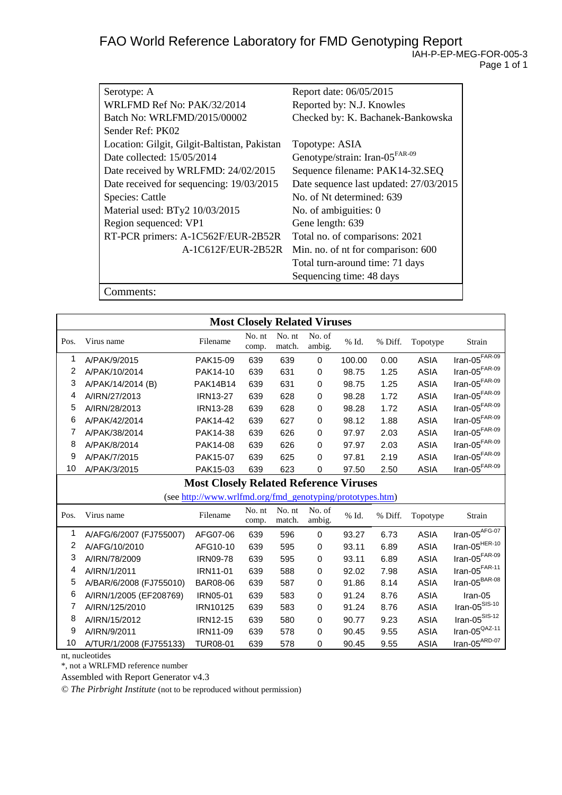| Serotype: A                                  | Report date: 06/05/2015                    |
|----------------------------------------------|--------------------------------------------|
| WRLFMD Ref No: PAK/32/2014                   | Reported by: N.J. Knowles                  |
| Batch No: WRLFMD/2015/00002                  | Checked by: K. Bachanek-Bankowska          |
| Sender Ref: PK02                             |                                            |
| Location: Gilgit, Gilgit-Baltistan, Pakistan | Topotype: ASIA                             |
| Date collected: 15/05/2014                   | Genotype/strain: Iran-05 <sup>FAR-09</sup> |
| Date received by WRLFMD: 24/02/2015          | Sequence filename: PAK14-32.SEQ            |
| Date received for sequencing: 19/03/2015     | Date sequence last updated: 27/03/2015     |
| <b>Species: Cattle</b>                       | No. of Nt determined: 639                  |
| Material used: BTy2 10/03/2015               | No. of ambiguities: 0                      |
| Region sequenced: VP1                        | Gene length: 639                           |
| RT-PCR primers: A-1C562F/EUR-2B52R           | Total no. of comparisons: 2021             |
| A-1C612F/EUR-2B52R                           | Min. no. of nt for comparison: 600         |
|                                              | Total turn-around time: 71 days            |
|                                              | Sequencing time: 48 days                   |
| omments:                                     |                                            |

**Most Closely Related Viruses** Pos. Virus name Filename No. nt comp. No. nt match. No. of ambig. % Id. % Diff. Topotype Strain 1 A/PAK/9/2015 PAK15-09 639 639 0 100.00 0.00 ASIA Iran-05FAR-09 2 A/PAK/10/2014 PAK14-10 639 631 0 98.75 1.25 ASIA Iran-05FAR-09 3 A/PAK/14/2014 (B) PAK14B14 639 631 0 98.75 1.25 ASIA Iran-05<sup>FAR-09</sup><br>4 A/IRN/27/2013 IRN13-27 639 628 0 98.28 1.72 ASIA Iran-05<sup>FAR-09</sup> 4 A/IRN/27/2013 IRN13-27 639 628 0 98.28 1.72 ASIA Iran-05<sup>FAR-09</sup><br>5 A/IRN/28/2013 IRN13-28 639 628 0 98.28 1.72 ASIA Iran-05<sup>FAR-09</sup> 5 A/IRN/28/2013 IRN13-28 639 628 0 98.28 1.72 ASIA Iran-05<sup>FAR-09</sup><br>6 A/PAK/42/2014 PAK14-42 639 627 0 98.12 1.88 ASIA Iran-05<sup>FAR-09</sup> 6 A/PAK/42/2014 PAK14-42 639 627 0 98.12 1.88 ASIA Iran-05FAR-09 7 A/PAK/38/2014 PAK14-38 639 626 0 97.97 2.03 ASIA 8 A/PAK/8/2014 PAK14-08 639 626 0 97.97 2.03 ASIA Iran-05FAR-09 9 A/PAK/7/2015 PAK15-07 639 625 0 97.81 2.19 ASIA Iran-05FAR-09 10 A/PAK/3/2015 PAK15-03 639 623 0 97.50 2.50 ASIA **Most Closely Related Reference Viruses** (see [http://www.wrlfmd.org/fmd\\_genotyping/prototypes.htm\)](http://www.wrlfmd.org/fmd_genotyping/prototypes.htm) Pos. Virus name Filename No. nt comp. No. nt match. No. of ambig. % Id. % Diff. Topotype Strain 1 A/AFG/6/2007 (FJ755007) AFG07-06 639 596 0 93.27 6.73 ASIA Iran-05<sup>AFG-07</sup><br>2 A/AFG/10/2010 AFG10-10 639 595 0 93.11 6.89 ASIA Iran-05<sup>HER-10</sup> 2 A/AFG/10/2010 AFG10-10 639 595 0 93.11 6.89 ASIA Iran-05HER-10 3 A/IRN/78/2009 1RN09-78 639 595 0 93.11 6.89 ASIA Iran-05<sup>FAR-09</sup> 4 A/IRN/1/2011 IRN11-01 639 588 0 92.02 7.98 ASIA Iran-05FAR-11 5 A/BAR/6/2008 (FJ755010) BAR08-06 639 587 0 91.86 8.14 ASIA 6 A/IRN/1/2005 (EF208769) IRN05-01 639 583 0 91.24 8.76 ASIA Iran-05<br>7 A/IRN/125/2010 1RN10125 639 583 0 91.24 8.76 ASIA Iran-05<sup>SIS-10</sup> 7 A/IRN/125/2010 IRN10125 639 583 0 91.24 8.76 ASIA Iran-05<sup>SIS-10</sup><br>8 A/IRN/15/2012 IRN12-15 639 580 0 90.77 9.23 ASIA Iran-05<sup>SIS-12</sup> 8 A/IRN/15/2012 IRN12-15 639 580 0 90.77 9.23 ASIA Iran-05SIS-12 9 A/IRN/9/2011 IRN11-09 639 578 0 90.45 9.55 ASIA Iran-05<sup>QAZ-11</sup><br>0 A/TUR/1/2008 (FJ755133) TUR08-01 639 578 0 90.45 9.55 AS 10 A/TUR/1/2008 (FJ755133) TUR08-01 639 578 0 90.45 9.55 ASIA

nt, nucleotides

\*, not a WRLFMD reference number

Assembled with Report Generator v4.3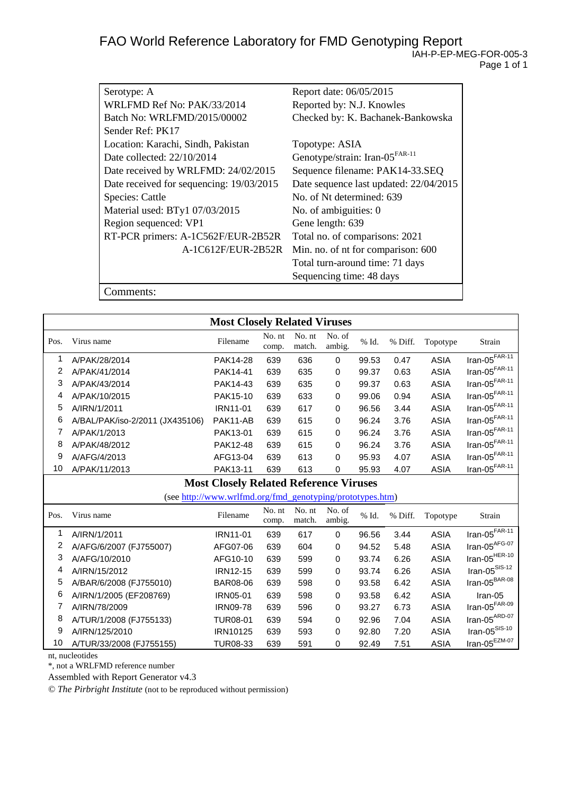| Serotype: A                              | Report date: 06/05/2015                    |
|------------------------------------------|--------------------------------------------|
| WRLFMD Ref No: PAK/33/2014               | Reported by: N.J. Knowles                  |
| Batch No: WRLFMD/2015/00002              | Checked by: K. Bachanek-Bankowska          |
| Sender Ref: PK17                         |                                            |
| Location: Karachi, Sindh, Pakistan       | Topotype: ASIA                             |
| Date collected: 22/10/2014               | Genotype/strain: Iran-05 <sup>FAR-11</sup> |
| Date received by WRLFMD: 24/02/2015      | Sequence filename: PAK14-33.SEQ            |
| Date received for sequencing: 19/03/2015 | Date sequence last updated: 22/04/2015     |
| <b>Species: Cattle</b>                   | No. of Nt determined: 639                  |
| Material used: BTy1 07/03/2015           | No. of ambiguities: 0                      |
| Region sequenced: VP1                    | Gene length: 639                           |
| RT-PCR primers: A-1C562F/EUR-2B52R       | Total no. of comparisons: 2021             |
| A-1C612F/EUR-2B52R                       | Min. no. of nt for comparison: 600         |
|                                          | Total turn-around time: 71 days            |
|                                          | Sequencing time: 48 days                   |
| 'omments:                                |                                            |

**Most Closely Related Viruses** Pos. Virus name No. nt comp. No. nt match. No. of ambig. % Id. % Diff. Topotype Strain 1 A/PAK/28/2014 PAK14-28 639 636 0 99.53 0.47 ASIA Iran-05FAR-11 2 A/PAK/41/2014 PAK14-41 639 635 0 99.37 0.63 ASIA Iran-05FAR-11 3 A/PAK/43/2014 PAK14-43 639 635 0 99.37 0.63 ASIA Iran-05<sup>FAR-11</sup><br>4 A/PAK/10/2015 PAK15-10 639 633 0 99.06 0.94 ASIA Iran-05<sup>FAR-11</sup> 4 A/PAK/10/2015 PAK15-10 639 633 0 99.06 0.94 ASIA Iran-05FAR-11 5 A/IRN/1/2011 IRN11-01 639 617 0 96.56 3.44 ASIA Iran-05<sup>FAR-11</sup><br>6 A/BAL/PAK/iso-2/2011 (JX435106) PAK11-AB 639 615 0 96.24 3.76 ASIA Iran-05<sup>FAR-11</sup> 6 A/BAL/PAK/iso-2/2011 (JX435106) PAK11-AB 639 615 0 96.24 3.76 ASIA Iran-05<sup>FAR-11</sup><br>7 A/PAK/1/2013 PAK13-01 639 615 0 96.24 3.76 ASIA Iran-05<sup>FAR-11</sup> 7 A/PAK/1/2013 PAK13-01 639 615 0 96.24 3.76 ASIA Iran-05<sup>FAR-11</sup><br>8 A/PAK/48/2012 PAK12-48 639 615 0 96.24 3.76 ASIA Iran-05<sup>FAR-11</sup> 8 A/PAK/48/2012 PAK12-48 639 615 0 96.24 3.76 ASIA 9 A/AFG/4/2013 AFG13-04 639 613 0 95.93 4.07 ASIA Iran-05FAR-11 10 A/PAK/11/2013 PAK13-11 639 613 0 95.93 4.07 ASIA Iran-05FAR-11 **Most Closely Related Reference Viruses** (se[e http://www.wrlfmd.org/fmd\\_genotyping/prototypes.htm\)](http://www.wrlfmd.org/fmd_genotyping/prototypes.htm) Pos. Virus name No. nt comp. No. nt match. No. of ambig. % Id. % Diff. Topotype Strain 1 A/IRN/1/2011 IRN11-01 639 617 0 96.56 3.44 ASIA Iran-05FAR-11 2 A/AFG/6/2007 (FJ755007) AFG07-06 639 604 0 94.52 5.48 ASIA Iran-05AFG-07 3 A/AFG/10/2010 AFG10-10 639 599 0 93.74 6.26 ASIA Iran-05<sup>HER-10</sup><br>4 A/IRN/15/2012 IRN12-15 639 599 0 93.74 6.26 ASIA Iran-05<sup>SIS-12</sup> 4 A/IRN/15/2012 IRN12-15 639 599 0 93.74 6.26 ASIA Iran-05SIS-12 5 A/BAR/6/2008 (FJ755010) BAR08-06 639 598 0 93.58 6.42 ASIA 6 A/IRN/1/2005 (EF208769) IRN05-01 639 598 0 93.58 6.42 ASIA Iran-05 7 A/IRN/78/2009 IRN09-78 639 596 0 93.27 6.73 ASIA Iran-05FAR-09 8 A/TUR/1/2008 (FJ755133) TUR08-01 639 594 0 92.96 7.04 ASIA Iran-05<sup>ARD-07</sup><br>9 A/IRN/125/2010 IRN10125 639 593 0 92.80 7.20 ASIA Iran-05<sup>SIS-10</sup> 9 A/IRN/125/2010 IRN10125 639 593 0 92.80 7.20 ASIA Iran-05<sup>SIS-10</sup><br>0 A/TUR/33/2008 (FJ755155) TUR08-33 639 591 0 92.49 7.51 ASIA Iran-05<sup>EZM-07</sup> 10 A/TUR/33/2008 (FJ755155) TUR08-33 639 591 0 92.49 7.51 ASIA

nt, nucleotides

\*, not a WRLFMD reference number

Assembled with Report Generator v4.3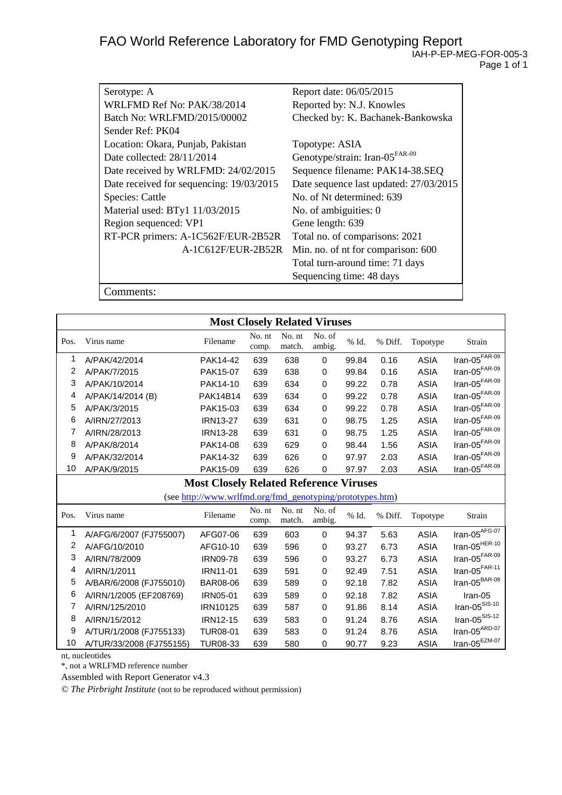| Serotype: A                              | Report date: 06/05/2015                    |
|------------------------------------------|--------------------------------------------|
| WRLFMD Ref No: PAK/38/2014               | Reported by: N.J. Knowles                  |
| Batch No: WRLFMD/2015/00002              | Checked by: K. Bachanek-Bankowska          |
| Sender Ref: PK04                         |                                            |
| Location: Okara, Punjab, Pakistan        | Topotype: ASIA                             |
| Date collected: 28/11/2014               | Genotype/strain: Iran-05 <sup>FAR-09</sup> |
| Date received by WRLFMD: 24/02/2015      | Sequence filename: PAK14-38.SEQ            |
| Date received for sequencing: 19/03/2015 | Date sequence last updated: 27/03/2015     |
| <b>Species: Cattle</b>                   | No. of Nt determined: 639                  |
| Material used: BTy1 11/03/2015           | No. of ambiguities: 0                      |
| Region sequenced: VP1                    | Gene length: 639                           |
| RT-PCR primers: A-1C562F/EUR-2B52R       | Total no. of comparisons: 2021             |
| A-1C612F/EUR-2B52R                       | Min. no. of nt for comparison: 600         |
|                                          | Total turn-around time: 71 days            |
|                                          | Sequencing time: 48 days                   |
| 'omments:                                |                                            |

**Most Closely Related Viruses** Pos. Virus name Filename No. nt comp. No. nt match. No. of ambig. % Id. % Diff. Topotype Strain 1 A/PAK/42/2014 PAK14-42 639 638 0 99.84 0.16 ASIA Iran-05FAR-09 2 A/PAK/7/2015 PAK15-07 639 638 0 99.84 0.16 ASIA Iran-05FAR-09 3 A/PAK/10/2014 PAK14-10 639 634 0 99.22 0.78 ASIA Iran-05FAR-09 4 A/PAK/14/2014 (B) PAK14B14 639 634 0 99.22 0.78 ASIA Iran-05<sup>FAR-09</sup><br>5 A/PAK/3/2015 PAK15-03 639 634 0 99.22 0.78 ASIA Iran-05<sup>FAR-09</sup> 5 A/PAK/3/2015 PAK15-03 639 634 0 99.22 0.78 ASIA Iran-05<sup>FAR-09</sup><br>6 A/IRN/27/2013 IRN13-27 639 631 0 98.75 1.25 ASIA Iran-05<sup>FAR-09</sup> 6 A/IRN/27/2013 IRN13-27 639 631 0 98.75 1.25 ASIA Iran-05FAR-09 7 A/IRN/28/2013 IRN13-28 639 631 0 98.75 1.25 ASIA 8 A/PAK/8/2014 PAK14-08 639 629 0 98.44 1.56 ASIA Iran-05FAR-09 9 A/PAK/32/2014 PAK14-32 639 626 0 97.97 2.03 ASIA lran-05<sup>FAR-09</sup><br><u>0 A/PAK/9/2015 PAK15-09</u> 639 626 0 97.97 2.03 ASIA lran-05<sup>FAR-09</sup> 10 A/PAK/9/2015 PAK15-09 639 626 0 97.97 2.03 ASIA **Most Closely Related Reference Viruses** (see [http://www.wrlfmd.org/fmd\\_genotyping/prototypes.htm\)](http://www.wrlfmd.org/fmd_genotyping/prototypes.htm) Pos. Virus name Filename No. nt comp. No. nt match. No. of ambig. % Id. % Diff. Topotype Strain 1 A/AFG/6/2007 (FJ755007) AFG07-06 639 603 0 94.37 5.63 ASIA Iran-05AFG-07 2 A/AFG/10/2010 AFG10-10 639 596 0 93.27 6.73 ASIA Iran-05HER-10 3 A/IRN/78/2009 1RN09-78 639 596 0 93.27 6.73 ASIA Iran-05<sup>FAR-09</sup> 4 A/IRN/1/2011 IRN11-01 639 591 0 92.49 7.51 ASIA Iran-05FAR-11 5 A/BAR/6/2008 (FJ755010) BAR08-06 639 589 0 92.18 7.82 ASIA 6 A/IRN/1/2005 (EF208769) IRN05-01 639 589 0 92.18 7.82 ASIA Iran-05<br>7 A/IRN/125/2010 1RN10125 639 587 0 91.86 8.14 ASIA Iran-05<sup>SIS-10</sup> 7 A/IRN/125/2010 IRN10125 639 587 0 91.86 8.14 ASIA Iran-05SIS-10 8 A/IRN/15/2012 IRN12-15 639 583 0 91.24 8.76 ASIA Iran-05<sup>SIS-12</sup><br>9 A/TUR/1/2008 (FJ755133) TUR08-01 639 583 0 91.24 8.76 ASIA Iran-05<sup>ARD-07</sup> 9 A/TUR/1/2008 (FJ755133) TUR08-01 639 583 0 91.24 8.76 ASIA Iran-05<sup>ARD-07</sup><br>0 A/TUR/33/2008 (FJ755155) TUR08-33 639 580 0 90.77 9.23 ASIA Iran-05<sup>EZM-07</sup> 10 A/TUR/33/2008 (FJ755155) TUR08-33 639 580 0 90.77 9.23 ASIA

nt, nucleotides

\*, not a WRLFMD reference number

Assembled with Report Generator v4.3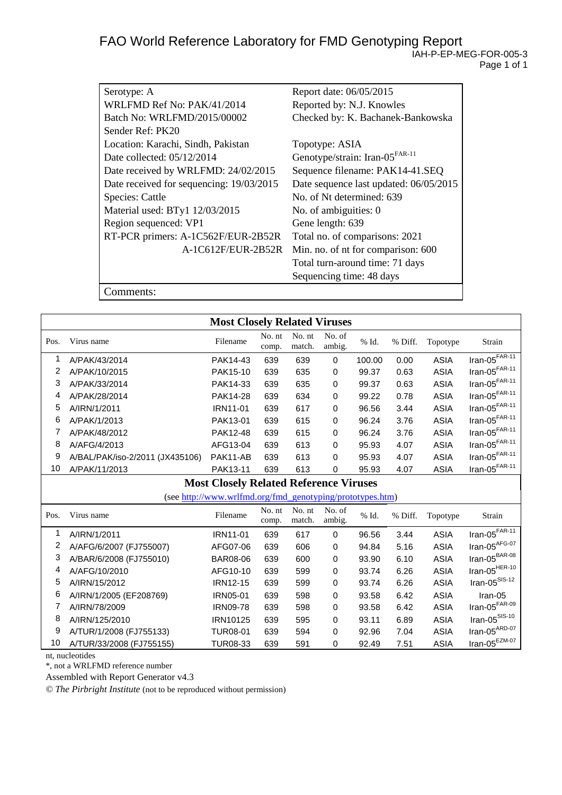| Serotype: A                              | Report date: 06/05/2015                    |
|------------------------------------------|--------------------------------------------|
| WRLFMD Ref No: PAK/41/2014               | Reported by: N.J. Knowles                  |
| Batch No: WRLFMD/2015/00002              | Checked by: K. Bachanek-Bankowska          |
| Sender Ref: PK20                         |                                            |
| Location: Karachi, Sindh, Pakistan       | Topotype: ASIA                             |
| Date collected: 05/12/2014               | Genotype/strain: Iran-05 <sup>FAR-11</sup> |
| Date received by WRLFMD: 24/02/2015      | Sequence filename: PAK14-41.SEQ            |
| Date received for sequencing: 19/03/2015 | Date sequence last updated: 06/05/2015     |
| Species: Cattle                          | No. of Nt determined: 639                  |
| Material used: BTy1 12/03/2015           | No. of ambiguities: 0                      |
| Region sequenced: VP1                    | Gene length: 639                           |
| RT-PCR primers: A-1C562F/EUR-2B52R       | Total no. of comparisons: 2021             |
| A-1C612F/EUR-2B52R                       | Min. no. of nt for comparison: 600         |
|                                          | Total turn-around time: 71 days            |
|                                          | Sequencing time: 48 days                   |
| `omments:                                |                                            |

**Most Closely Related Viruses** Pos. Virus name No. nt comp. No. nt match. No. of ambig. % Id. % Diff. Topotype Strain 1 A/PAK/43/2014 PAK14-43 639 639 0 100.00 0.00 ASIA Iran-05FAR-11 2 A/PAK/10/2015 PAK15-10 639 635 0 99.37 0.63 ASIA Iran-05FAR-11 3 A/PAK/33/2014 PAK14-33 639 635 0 99.37 0.63 ASIA Iran-05<sup>FAR-11</sup><br>4 A/PAK/28/2014 PAK14-28 639 634 0 99.22 0.78 ASIA Iran-05<sup>FAR-11</sup> 4 A/PAK/28/2014 PAK14-28 639 634 0 99.22 0.78 ASIA Iran-05FAR-11 5 A/IRN/1/2011 IRN11-01 639 617 0 96.56 3.44 ASIA Iran-05FAR-11 6 A/PAK/1/2013 PAK13-01 639 615 0 96.24 3.76 ASIA Iran-05<sup>FAR-11</sup><br>7 A/PAK/48/2012 PAK12-48 639 615 0 96.24 3.76 ASIA Iran-05<sup>FAR-11</sup> 7 A/PAK/48/2012 PAK12-48 639 615 0 96.24 3.76 ASIA 8 A/AFG/4/2013 AFG13-04 639 613 0 95.93 4.07 ASIA Iran-05FAR-11 9 A/BAL/PAK/iso-2/2011 (JX435106) PAK11-AB 639 613 0 95.93 4.07 ASIA Iran-05FAR-11 10 A/PAK/11/2013 PAK13-11 639 613 0 95.93 4.07 ASIA Iran-05FAR-11 **Most Closely Related Reference Viruses** (se[e http://www.wrlfmd.org/fmd\\_genotyping/prototypes.htm\)](http://www.wrlfmd.org/fmd_genotyping/prototypes.htm) Pos. Virus name No. nt comp. No. nt match. No. of ambig. % Id. % Diff. Topotype Strain 1 A/IRN/1/2011 IRN11-01 639 617 0 96.56 3.44 ASIA Iran-05FAR-11 2 A/AFG/6/2007 (FJ755007) AFG07-06 639 606 0 94.84 5.16 ASIA Iran-05<sup>AFG-07</sup><br>3 A/BAR/6/2008 (FJ755010) BAR08-06 639 600 0 93.90 6.10 ASIA Iran-05<sup>BAR-08</sup> 3 A/BAR/6/2008 (FJ755010) BAR08-06 639 600 0 93.90 6.10 ASIA Iran-05BAR-08 4 A/AFG/10/2010 AFG10-10 639 599 0 93.74 6.26 ASIA Iran-05HER-10 5 A/IRN/15/2012 IRN12-15 639 599 0 93.74 6.26 ASIA 6 A/IRN/1/2005 (EF208769) IRN05-01 639 598 0 93.58 6.42 ASIA Iran-05 7 A/IRN/78/2009 IRN09-78 639 598 0 93.58 6.42 ASIA Iran-05<sup>FAR-09</sup><br>17 A/IRN/125/2010 IRN10125 639 595 8 A/IRN/125/2010 IRN10125 639 595 0 93.11 6.89 ASIA lran-05<sup>SIS-10</sup><br>9 A/TUR/1/2008 (FJ755133) TUR08-01 639 594 0 92.96 7.04 ASIA lran-05<sup>ARD-07</sup> 9 A/TUR/1/2008 (FJ755133) TUR08-01 639 594 0 92.96 7.04 ASIA Iran-05<sup>ARD-07</sup><br>10 A/TUR/33/2008 (FJ755155) TUR08-33 639 591 0 92.49 7.51 ASIA Iran-05<sup>EZM-07</sup> 10 A/TUR/33/2008 (FJ755155) TUR08-33 639 591 0 92.49 7.51 ASIA

nt, nucleotides

\*, not a WRLFMD reference number

Assembled with Report Generator v4.3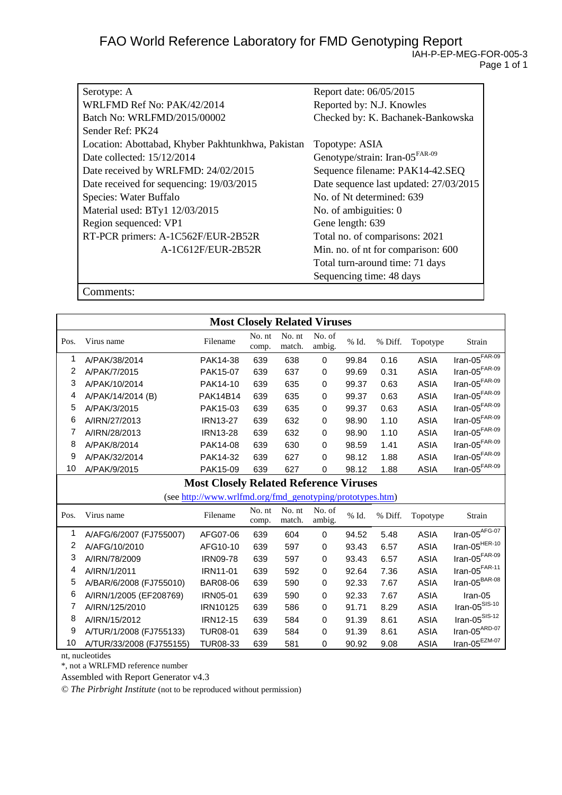| Serotype: A                                       | Report date: 06/05/2015                    |
|---------------------------------------------------|--------------------------------------------|
| WRLFMD Ref No: PAK/42/2014                        | Reported by: N.J. Knowles                  |
| Batch No: WRLFMD/2015/00002                       | Checked by: K. Bachanek-Bankowska          |
| Sender Ref: PK24                                  |                                            |
| Location: Abottabad, Khyber Pakhtunkhwa, Pakistan | Topotype: ASIA                             |
| Date collected: 15/12/2014                        | Genotype/strain: Iran-05 <sup>FAR-09</sup> |
| Date received by WRLFMD: 24/02/2015               | Sequence filename: PAK14-42.SEQ            |
| Date received for sequencing: 19/03/2015          | Date sequence last updated: 27/03/2015     |
| Species: Water Buffalo                            | No. of Nt determined: 639                  |
| Material used: BTy1 12/03/2015                    | No. of ambiguities: 0                      |
| Region sequenced: VP1                             | Gene length: 639                           |
| RT-PCR primers: A-1C562F/EUR-2B52R                | Total no. of comparisons: 2021             |
| A-1C612F/EUR-2B52R                                | Min. no. of nt for comparison: 600         |
|                                                   | Total turn-around time: 71 days            |
|                                                   | Sequencing time: 48 days                   |

Comments:

|      | <b>Most Closely Related Viruses</b> |                                                           |                 |                  |                  |          |         |             |                                  |
|------|-------------------------------------|-----------------------------------------------------------|-----------------|------------------|------------------|----------|---------|-------------|----------------------------------|
| Pos. | Virus name                          | Filename                                                  | No. nt<br>comp. | No. nt<br>match. | No. of<br>ambig. | % Id.    | % Diff. | Topotype    | Strain                           |
| 1    | A/PAK/38/2014                       | PAK14-38                                                  | 639             | 638              | 0                | 99.84    | 0.16    | <b>ASIA</b> | $\text{Iran-05}^{\text{FAR-09}}$ |
| 2    | A/PAK/7/2015                        | PAK15-07                                                  | 639             | 637              | 0                | 99.69    | 0.31    | <b>ASIA</b> | Iran-05 $F$ AR-09                |
| 3    | A/PAK/10/2014                       | PAK14-10                                                  | 639             | 635              | 0                | 99.37    | 0.63    | <b>ASIA</b> | $\text{Iran-05}^{\text{FAR-09}}$ |
| 4    | A/PAK/14/2014 (B)                   | <b>PAK14B14</b>                                           | 639             | 635              | 0                | 99.37    | 0.63    | <b>ASIA</b> | Iran-05 $F$ AR-09                |
| 5    | A/PAK/3/2015                        | PAK15-03                                                  | 639             | 635              | 0                | 99.37    | 0.63    | <b>ASIA</b> | Iran-05 $FAR-09$                 |
| 6    | A/IRN/27/2013                       | <b>IRN13-27</b>                                           | 639             | 632              | 0                | 98.90    | 1.10    | <b>ASIA</b> | Iran-05 $F$ AR-09                |
| 7    | A/IRN/28/2013                       | <b>IRN13-28</b>                                           | 639             | 632              | 0                | 98.90    | 1.10    | <b>ASIA</b> | Iran-05 $F$ AR-09                |
| 8    | A/PAK/8/2014                        | PAK14-08                                                  | 639             | 630              | 0                | 98.59    | 1.41    | <b>ASIA</b> | Iran-05 $F$ AR-09                |
| 9    | A/PAK/32/2014                       | PAK14-32                                                  | 639             | 627              | 0                | 98.12    | 1.88    | <b>ASIA</b> | Iran-05 $F$ AR-09                |
| 10   | A/PAK/9/2015                        | PAK15-09                                                  | 639             | 627              | 0                | 98.12    | 1.88    | <b>ASIA</b> | $Iran-05$ <sup>FAR-09</sup>      |
|      |                                     | <b>Most Closely Related Reference Viruses</b>             |                 |                  |                  |          |         |             |                                  |
|      |                                     | (see http://www.wrlfmd.org/fmd_genotyping/prototypes.htm) |                 |                  |                  |          |         |             |                                  |
| Pos. | Virus name                          | Filename                                                  | No. nt<br>comp. | No. nt<br>match. | No. of<br>ambig. | $\%$ Id. | % Diff. | Topotype    | Strain                           |
| 1    | A/AFG/6/2007 (FJ755007)             | AFG07-06                                                  | 639             | 604              | 0                | 94.52    | 5.48    | <b>ASIA</b> | Iran-05 $AFG-07$                 |
| 2    | A/AFG/10/2010                       | AFG10-10                                                  | 639             | 597              | 0                | 93.43    | 6.57    | <b>ASIA</b> | Iran-05 $^{HER-10}$              |
| 3    | A/IRN/78/2009                       | <b>IRN09-78</b>                                           | 639             | 597              | 0                | 93.43    | 6.57    | <b>ASIA</b> | Iran-05 $F$ AR-09                |
| 4    | A/IRN/1/2011                        | <b>IRN11-01</b>                                           | 639             | 592              | 0                | 92.64    | 7.36    | <b>ASIA</b> | Iran-05 $F$ AR-11                |
| 5    | A/BAR/6/2008 (FJ755010)             | BAR08-06                                                  | 639             | 590              | 0                | 92.33    | 7.67    | <b>ASIA</b> | Iran-05 $BBR-08$                 |
| 6    | A/IRN/1/2005 (EF208769)             | IRN05-01                                                  | 639             | 590              | 0                | 92.33    | 7.67    | <b>ASIA</b> | Iran-05                          |
| 7    | A/IRN/125/2010                      | IRN10125                                                  | 639             | 586              | 0                | 91.71    | 8.29    | <b>ASIA</b> | $\text{Iran-05}^{\text{SIS-10}}$ |
| 8    | A/IRN/15/2012                       | <b>IRN12-15</b>                                           | 639             | 584              | 0                | 91.39    | 8.61    | <b>ASIA</b> | $\text{Iran-05}^{\text{SIS-12}}$ |
| 9    | A/TUR/1/2008 (FJ755133)             | <b>TUR08-01</b>                                           | 639             | 584              | 0                | 91.39    | 8.61    | <b>ASIA</b> | Iran-05 $^{ARD-07}$              |
| 10   | A/TUR/33/2008 (FJ755155)            | TUR08-33                                                  | 639             | 581              | 0                | 90.92    | 9.08    | <b>ASIA</b> | $Iran-05^{EZM-07}$               |

nt, nucleotides

\*, not a WRLFMD reference number

Assembled with Report Generator v4.3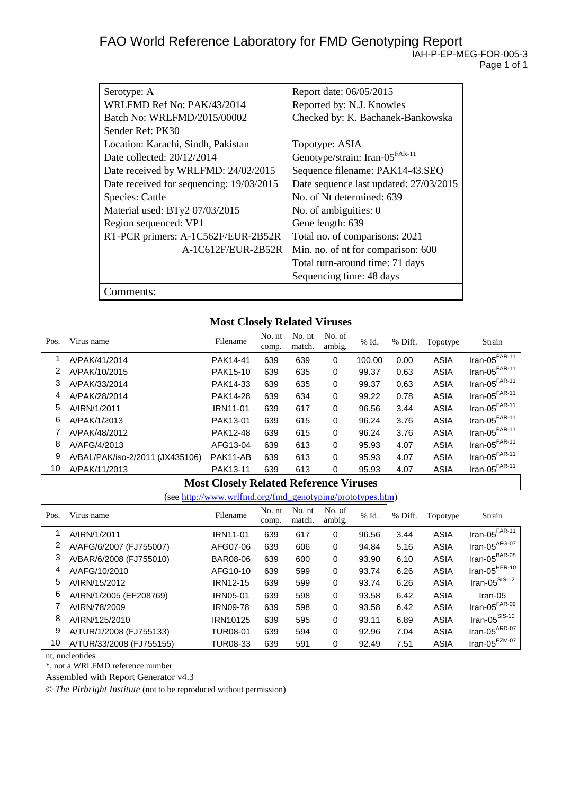| Serotype: A                              | Report date: 06/05/2015                    |
|------------------------------------------|--------------------------------------------|
| WRLFMD Ref No: PAK/43/2014               | Reported by: N.J. Knowles                  |
| Batch No: WRLFMD/2015/00002              | Checked by: K. Bachanek-Bankowska          |
| Sender Ref: PK30                         |                                            |
| Location: Karachi, Sindh, Pakistan       | Topotype: ASIA                             |
| Date collected: $20/12/2014$             | Genotype/strain: Iran-05 <sup>FAR-11</sup> |
| Date received by WRLFMD: 24/02/2015      | Sequence filename: PAK14-43.SEQ            |
| Date received for sequencing: 19/03/2015 | Date sequence last updated: 27/03/2015     |
| Species: Cattle                          | No. of Nt determined: 639                  |
| Material used: BTy2 07/03/2015           | No. of ambiguities: 0                      |
| Region sequenced: VP1                    | Gene length: 639                           |
| RT-PCR primers: A-1C562F/EUR-2B52R       | Total no. of comparisons: 2021             |
| A-1C612F/EUR-2B52R                       | Min. no. of nt for comparison: 600         |
|                                          | Total turn-around time: 71 days            |
|                                          | Sequencing time: 48 days                   |
| :omments:                                |                                            |

**Most Closely Related Viruses** Pos. Virus name No. nt comp. No. nt match. No. of ambig. % Id. % Diff. Topotype Strain 1 A/PAK/41/2014 PAK14-41 639 639 0 100.00 0.00 ASIA Iran-05FAR-11 2 A/PAK/10/2015 PAK15-10 639 635 0 99.37 0.63 ASIA Iran-05FAR-11 3 A/PAK/33/2014 PAK14-33 639 635 0 99.37 0.63 ASIA Iran-05<sup>FAR-11</sup><br>4 A/PAK/28/2014 PAK14-28 639 634 0 99.22 0.78 ASIA Iran-05<sup>FAR-11</sup> 4 A/PAK/28/2014 PAK14-28 639 634 0 99.22 0.78 ASIA Iran-05FAR-11 5 A/IRN/1/2011 IRN11-01 639 617 0 96.56 3.44 ASIA Iran-05FAR-11 6 A/PAK/1/2013 PAK13-01 639 615 0 96.24 3.76 ASIA Iran-05<sup>FAR-11</sup><br>7 A/PAK/48/2012 PAK12-48 639 615 0 96.24 3.76 ASIA Iran-05<sup>FAR-11</sup> 7 A/PAK/48/2012 PAK12-48 639 615 0 96.24 3.76 ASIA 8 A/AFG/4/2013 AFG13-04 639 613 0 95.93 4.07 ASIA Iran-05FAR-11 9 A/BAL/PAK/iso-2/2011 (JX435106) PAK11-AB 639 613 0 95.93 4.07 ASIA Iran-05FAR-11 10 A/PAK/11/2013 PAK13-11 639 613 0 95.93 4.07 ASIA Iran-05FAR-11 **Most Closely Related Reference Viruses** (se[e http://www.wrlfmd.org/fmd\\_genotyping/prototypes.htm\)](http://www.wrlfmd.org/fmd_genotyping/prototypes.htm) Pos. Virus name No. nt comp. No. nt match. No. of ambig. % Id. % Diff. Topotype Strain 1 A/IRN/1/2011 IRN11-01 639 617 0 96.56 3.44 ASIA Iran-05FAR-11 2 A/AFG/6/2007 (FJ755007) AFG07-06 639 606 0 94.84 5.16 ASIA Iran-05<sup>AFG-07</sup><br>3 A/BAR/6/2008 (FJ755010) BAR08-06 639 600 0 93.90 6.10 ASIA Iran-05<sup>BAR-08</sup> 3 A/BAR/6/2008 (FJ755010) BAR08-06 639 600 0 93.90 6.10 ASIA Iran-05BAR-08 4 A/AFG/10/2010 AFG10-10 639 599 0 93.74 6.26 ASIA Iran-05HER-10 5 A/IRN/15/2012 IRN12-15 639 599 0 93.74 6.26 ASIA 6 A/IRN/1/2005 (EF208769) IRN05-01 639 598 0 93.58 6.42 ASIA Iran-05 7 A/IRN/78/2009 IRN09-78 639 598 0 93.58 6.42 ASIA Iran-05<sup>FAR-09</sup><br>17 A/IRN/125/2010 IRN10125 639 595 8 A/IRN/125/2010 IRN10125 639 595 0 93.11 6.89 ASIA lran-05<sup>SIS-10</sup><br>9 A/TUR/1/2008 (FJ755133) TUR08-01 639 594 0 92.96 7.04 ASIA lran-05<sup>ARD-07</sup> 9 A/TUR/1/2008 (FJ755133) TUR08-01 639 594 0 92.96 7.04 ASIA Iran-05<sup>ARD-07</sup><br>10 A/TUR/33/2008 (FJ755155) TUR08-33 639 591 0 92.49 7.51 ASIA Iran-05<sup>EZM-07</sup> 10 A/TUR/33/2008 (FJ755155) TUR08-33 639 591 0 92.49 7.51 ASIA

nt, nucleotides

\*, not a WRLFMD reference number

Assembled with Report Generator v4.3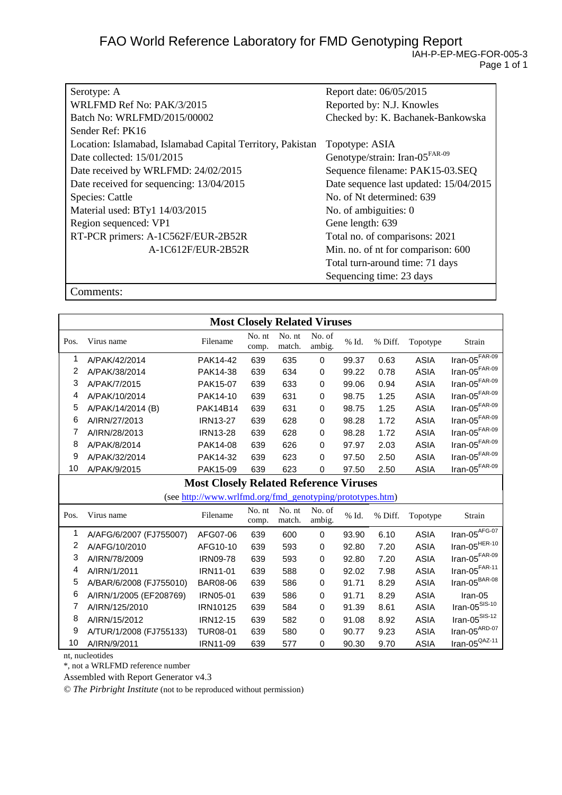| Serotype: A                                                | Report date: 06/05/2015                    |
|------------------------------------------------------------|--------------------------------------------|
| WRLFMD Ref No: PAK/3/2015                                  | Reported by: N.J. Knowles                  |
| Batch No: WRLFMD/2015/00002                                | Checked by: K. Bachanek-Bankowska          |
| Sender Ref: PK16                                           |                                            |
| Location: Islamabad, Islamabad Capital Territory, Pakistan | Topotype: ASIA                             |
| Date collected: 15/01/2015                                 | Genotype/strain: Iran-05 <sup>FAR-09</sup> |
| Date received by WRLFMD: 24/02/2015                        | Sequence filename: PAK15-03.SEQ            |
| Date received for sequencing: 13/04/2015                   | Date sequence last updated: 15/04/2015     |
| Species: Cattle                                            | No. of Nt determined: 639                  |
| Material used: BTy1 14/03/2015                             | No. of ambiguities: 0                      |
| Region sequenced: VP1                                      | Gene length: 639                           |
| RT-PCR primers: A-1C562F/EUR-2B52R                         | Total no. of comparisons: 2021             |
| A-1C612F/EUR-2B52R                                         | Min. no. of nt for comparison: 600         |
|                                                            | Total turn-around time: 71 days            |
|                                                            | Sequencing time: 23 days                   |

Comments:

|      | <b>Most Closely Related Viruses</b> |                                                           |                 |                  |                  |       |         |             |                                  |
|------|-------------------------------------|-----------------------------------------------------------|-----------------|------------------|------------------|-------|---------|-------------|----------------------------------|
| Pos. | Virus name                          | Filename                                                  | No. nt<br>comp. | No. nt<br>match. | No. of<br>ambig. | % Id. | % Diff. | Topotype    | Strain                           |
| 1    | A/PAK/42/2014                       | PAK14-42                                                  | 639             | 635              | 0                | 99.37 | 0.63    | <b>ASIA</b> | Iran-05 $\overline{f^{FAR-09}}$  |
| 2    | A/PAK/38/2014                       | PAK14-38                                                  | 639             | 634              | 0                | 99.22 | 0.78    | <b>ASIA</b> | Iran-05 $F$ AR-09                |
| 3    | A/PAK/7/2015                        | PAK15-07                                                  | 639             | 633              | 0                | 99.06 | 0.94    | <b>ASIA</b> | Iran-05 $F$ AR-09                |
| 4    | A/PAK/10/2014                       | PAK14-10                                                  | 639             | 631              | 0                | 98.75 | 1.25    | <b>ASIA</b> | Iran-05 $F$ AR-09                |
| 5    | A/PAK/14/2014 (B)                   | <b>PAK14B14</b>                                           | 639             | 631              | 0                | 98.75 | 1.25    | <b>ASIA</b> | Iran-05 $FAR-09$                 |
| 6    | A/IRN/27/2013                       | <b>IRN13-27</b>                                           | 639             | 628              | 0                | 98.28 | 1.72    | <b>ASIA</b> | Iran-05 $F$ AR-09                |
| 7    | A/IRN/28/2013                       | <b>IRN13-28</b>                                           | 639             | 628              | $\Omega$         | 98.28 | 1.72    | <b>ASIA</b> | Iran-05 $F$ AR-09                |
| 8    | A/PAK/8/2014                        | PAK14-08                                                  | 639             | 626              | 0                | 97.97 | 2.03    | <b>ASIA</b> | Iran-05 $FAR-09$                 |
| 9    | A/PAK/32/2014                       | PAK14-32                                                  | 639             | 623              | 0                | 97.50 | 2.50    | <b>ASIA</b> | Iran-05 $F$ AR-09                |
| 10   | A/PAK/9/2015                        | PAK15-09                                                  | 639             | 623              | 0                | 97.50 | 2.50    | <b>ASIA</b> | $Iran-05FAR-09$                  |
|      |                                     | <b>Most Closely Related Reference Viruses</b>             |                 |                  |                  |       |         |             |                                  |
|      |                                     | (see http://www.wrlfmd.org/fmd_genotyping/prototypes.htm) |                 |                  |                  |       |         |             |                                  |
| Pos. | Virus name                          | Filename                                                  | No. nt<br>comp. | No. nt<br>match. | No. of<br>ambig. | % Id. | % Diff. | Topotype    | Strain                           |
| 1    | A/AFG/6/2007 (FJ755007)             | AFG07-06                                                  | 639             | 600              | 0                | 93.90 | 6.10    | <b>ASIA</b> | Iran-05 $AFG-07$                 |
| 2    | A/AFG/10/2010                       | AFG10-10                                                  | 639             | 593              | 0                | 92.80 | 7.20    | <b>ASIA</b> | Iran-05 $^{HER-10}$              |
| 3    | A/IRN/78/2009                       | <b>IRN09-78</b>                                           | 639             | 593              | 0                | 92.80 | 7.20    | <b>ASIA</b> | Iran-05 $F$ AR-09                |
| 4    | A/IRN/1/2011                        | <b>IRN11-01</b>                                           | 639             | 588              | 0                | 92.02 | 7.98    | <b>ASIA</b> | Iran-05 $F$ AR-11                |
| 5    | A/BAR/6/2008 (FJ755010)             | <b>BAR08-06</b>                                           | 639             | 586              | 0                | 91.71 | 8.29    | <b>ASIA</b> | Iran-05 <sup>BAR-08</sup>        |
| 6    | A/IRN/1/2005 (EF208769)             | IRN05-01                                                  | 639             | 586              | 0                | 91.71 | 8.29    | <b>ASIA</b> | Iran-05                          |
| 7    | A/IRN/125/2010                      | IRN10125                                                  | 639             | 584              | 0                | 91.39 | 8.61    | <b>ASIA</b> | $\text{Iran-05}^{\text{SIS-10}}$ |
| 8    | A/IRN/15/2012                       | <b>IRN12-15</b>                                           | 639             | 582              | 0                | 91.08 | 8.92    | <b>ASIA</b> | Iran-05 <sup>SIS-12</sup>        |
| 9    | A/TUR/1/2008 (FJ755133)             | <b>TUR08-01</b>                                           | 639             | 580              | 0                | 90.77 | 9.23    | <b>ASIA</b> | Iran-05 $^{ARD-07}$              |
| 10   | A/IRN/9/2011                        | IRN11-09                                                  | 639             | 577              | 0                | 90.30 | 9.70    | <b>ASIA</b> | $Iran-05^{QAZ-11}$               |

nt, nucleotides

\*, not a WRLFMD reference number

Assembled with Report Generator v4.3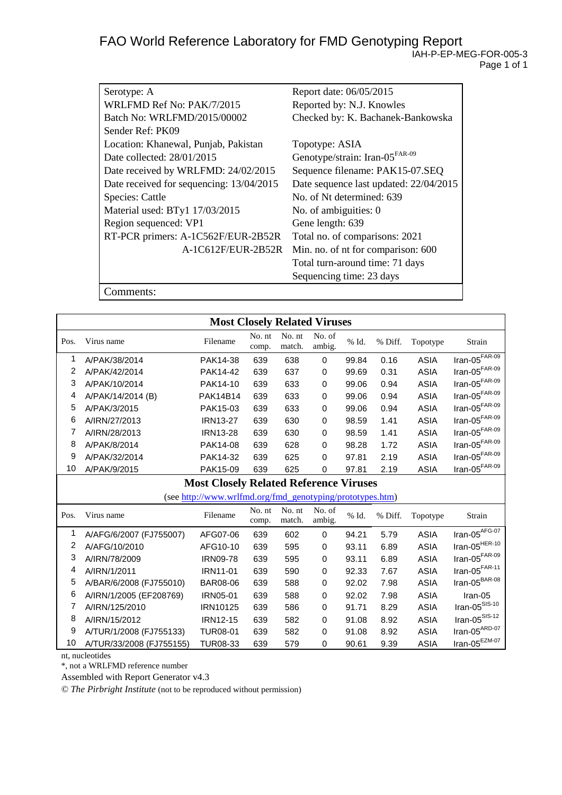| Serotype: A                              | Report date: 06/05/2015                    |
|------------------------------------------|--------------------------------------------|
| WRLFMD Ref No: PAK/7/2015                | Reported by: N.J. Knowles                  |
| Batch No: WRLFMD/2015/00002              | Checked by: K. Bachanek-Bankowska          |
| Sender Ref: PK09                         |                                            |
| Location: Khanewal, Punjab, Pakistan     | Topotype: ASIA                             |
| Date collected: 28/01/2015               | Genotype/strain: Iran-05 <sup>FAR-09</sup> |
| Date received by WRLFMD: 24/02/2015      | Sequence filename: PAK15-07.SEQ            |
| Date received for sequencing: 13/04/2015 | Date sequence last updated: 22/04/2015     |
| Species: Cattle                          | No. of Nt determined: 639                  |
| Material used: BTy1 17/03/2015           | No. of ambiguities: 0                      |
| Region sequenced: VP1                    | Gene length: 639                           |
| RT-PCR primers: A-1C562F/EUR-2B52R       | Total no. of comparisons: 2021             |
| A-1C612F/EUR-2B52R                       | Min. no. of nt for comparison: 600         |
|                                          | Total turn-around time: 71 days            |
|                                          | Sequencing time: 23 days                   |

Comments:

| <b>Most Closely Related Viruses</b>           |                          |                                                           |                 |                  |                  |       |         |             |                                  |
|-----------------------------------------------|--------------------------|-----------------------------------------------------------|-----------------|------------------|------------------|-------|---------|-------------|----------------------------------|
| Pos.                                          | Virus name               | Filename                                                  | No. nt<br>comp. | No. nt<br>match. | No. of<br>ambig. | % Id. | % Diff. | Topotype    | Strain                           |
| 1                                             | A/PAK/38/2014            | PAK14-38                                                  | 639             | 638              | $\mathbf 0$      | 99.84 | 0.16    | <b>ASIA</b> | $\text{Iran-05}^{\text{FAR-09}}$ |
| 2                                             | A/PAK/42/2014            | PAK14-42                                                  | 639             | 637              | 0                | 99.69 | 0.31    | <b>ASIA</b> | Iran-05 $F$ AR-09                |
| 3                                             | A/PAK/10/2014            | PAK14-10                                                  | 639             | 633              | 0                | 99.06 | 0.94    | <b>ASIA</b> | $\text{Iran-05}^{\text{FAR-09}}$ |
| 4                                             | A/PAK/14/2014 (B)        | <b>PAK14B14</b>                                           | 639             | 633              | 0                | 99.06 | 0.94    | <b>ASIA</b> | Iran-05 $F$ AR-09                |
| 5                                             | A/PAK/3/2015             | PAK15-03                                                  | 639             | 633              | 0                | 99.06 | 0.94    | <b>ASIA</b> | Iran-05 $F$ AR-09                |
| 6                                             | A/IRN/27/2013            | <b>IRN13-27</b>                                           | 639             | 630              | 0                | 98.59 | 1.41    | <b>ASIA</b> | $\text{Iran-05}^{\text{FAR-09}}$ |
| 7                                             | A/IRN/28/2013            | <b>IRN13-28</b>                                           | 639             | 630              | 0                | 98.59 | 1.41    | <b>ASIA</b> | Iran-05 $F$ AR-09                |
| 8                                             | A/PAK/8/2014             | PAK14-08                                                  | 639             | 628              | 0                | 98.28 | 1.72    | <b>ASIA</b> | Iran-05 $F$ AR-09                |
| 9                                             | A/PAK/32/2014            | PAK14-32                                                  | 639             | 625              | 0                | 97.81 | 2.19    | <b>ASIA</b> | Iran-05 $F$ AR-09                |
| 10                                            | A/PAK/9/2015             | PAK15-09                                                  | 639             | 625              | 0                | 97.81 | 2.19    | <b>ASIA</b> | $Iran-05$ <sup>FAR-09</sup>      |
| <b>Most Closely Related Reference Viruses</b> |                          |                                                           |                 |                  |                  |       |         |             |                                  |
|                                               |                          | (see http://www.wrlfmd.org/fmd_genotyping/prototypes.htm) |                 |                  |                  |       |         |             |                                  |
| Pos.                                          | Virus name               | Filename                                                  | No. nt<br>comp. | No. nt<br>match. | No. of<br>ambig. | % Id. | % Diff. | Topotype    | Strain                           |
| 1                                             | A/AFG/6/2007 (FJ755007)  | AFG07-06                                                  | 639             | 602              | $\mathbf 0$      | 94.21 | 5.79    | <b>ASIA</b> | Iran-05 $AFG-07$                 |
| 2                                             | A/AFG/10/2010            | AFG10-10                                                  | 639             | 595              | 0                | 93.11 | 6.89    | <b>ASIA</b> | Iran-05 $^{HER-10}$              |
| 3                                             | A/IRN/78/2009            | <b>IRN09-78</b>                                           | 639             | 595              | 0                | 93.11 | 6.89    | <b>ASIA</b> | Iran-05 $F$ AR-09                |
| 4                                             | A/IRN/1/2011             | IRN11-01                                                  | 639             | 590              | 0                | 92.33 | 7.67    | <b>ASIA</b> | Iran-05 $F$ AR-11                |
| 5                                             | A/BAR/6/2008 (FJ755010)  | <b>BAR08-06</b>                                           | 639             | 588              | 0                | 92.02 | 7.98    | <b>ASIA</b> | Iran-05 $^{BAR-08}$              |
| 6                                             | A/IRN/1/2005 (EF208769)  | IRN05-01                                                  | 639             | 588              | 0                | 92.02 | 7.98    | <b>ASIA</b> | Iran-05                          |
| 7                                             | A/IRN/125/2010           | <b>IRN10125</b>                                           | 639             | 586              | 0                | 91.71 | 8.29    | <b>ASIA</b> | $\text{Iran-05}^{\text{SIS-10}}$ |
| 8                                             | A/IRN/15/2012            | <b>IRN12-15</b>                                           | 639             | 582              | 0                | 91.08 | 8.92    | <b>ASIA</b> | $\text{Iran-05}^{\text{SIS-12}}$ |
| 9                                             | A/TUR/1/2008 (FJ755133)  | <b>TUR08-01</b>                                           | 639             | 582              | 0                | 91.08 | 8.92    | <b>ASIA</b> | Iran-05 $^{ARD-07}$              |
| 10                                            | A/TUR/33/2008 (FJ755155) | TUR08-33                                                  | 639             | 579              | 0                | 90.61 | 9.39    | <b>ASIA</b> | $\text{Iran-05}^{\text{EZM-07}}$ |

nt, nucleotides

\*, not a WRLFMD reference number

Assembled with Report Generator v4.3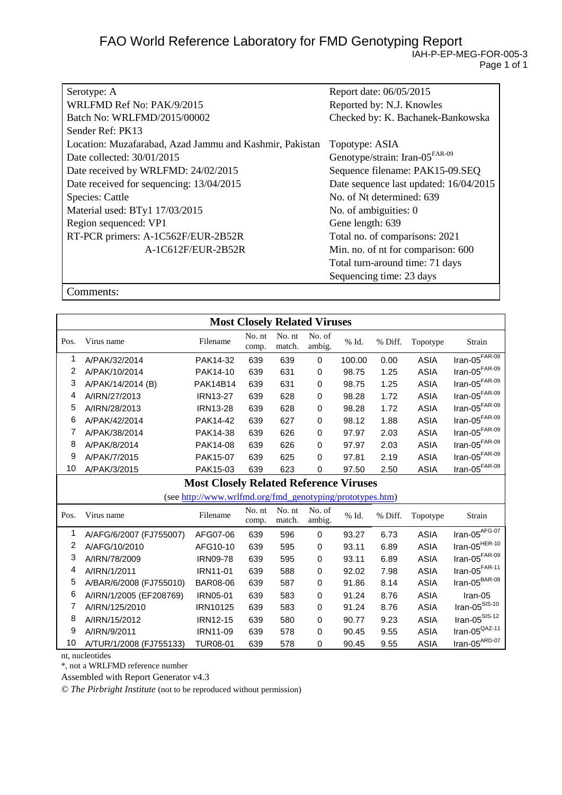| Serotype: A                                             | Report date: 06/05/2015                    |
|---------------------------------------------------------|--------------------------------------------|
| WRLFMD Ref No: PAK/9/2015                               | Reported by: N.J. Knowles                  |
| Batch No: WRLFMD/2015/00002                             | Checked by: K. Bachanek-Bankowska          |
| Sender Ref: PK13                                        |                                            |
| Location: Muzafarabad, Azad Jammu and Kashmir, Pakistan | Topotype: ASIA                             |
| Date collected: 30/01/2015                              | Genotype/strain: Iran-05 <sup>FAR-09</sup> |
| Date received by WRLFMD: 24/02/2015                     | Sequence filename: PAK15-09.SEQ            |
| Date received for sequencing: 13/04/2015                | Date sequence last updated: 16/04/2015     |
| <b>Species: Cattle</b>                                  | No. of Nt determined: 639                  |
| Material used: BTy1 17/03/2015                          | No. of ambiguities: 0                      |
| Region sequenced: VP1                                   | Gene length: 639                           |
| RT-PCR primers: A-1C562F/EUR-2B52R                      | Total no. of comparisons: 2021             |
| A-1C612F/EUR-2B52R                                      | Min. no. of nt for comparison: 600         |
|                                                         | Total turn-around time: 71 days            |
|                                                         | Sequencing time: 23 days                   |

Comments:

| <b>Most Closely Related Viruses</b> |                                               |                                                           |                 |                  |                  |        |         |             |                                  |
|-------------------------------------|-----------------------------------------------|-----------------------------------------------------------|-----------------|------------------|------------------|--------|---------|-------------|----------------------------------|
| Pos.                                | Virus name                                    | Filename                                                  | No. nt<br>comp. | No. nt<br>match. | No. of<br>ambig. | % Id.  | % Diff. | Topotype    | Strain                           |
| 1                                   | A/PAK/32/2014                                 | PAK14-32                                                  | 639             | 639              | $\Omega$         | 100.00 | 0.00    | <b>ASIA</b> | Iran-05 $\overline{f^{FAR-09}}$  |
| 2                                   | A/PAK/10/2014                                 | PAK14-10                                                  | 639             | 631              | $\Omega$         | 98.75  | 1.25    | <b>ASIA</b> | Iran-05 $F$ AR-09                |
| 3                                   | A/PAK/14/2014 (B)                             | <b>PAK14B14</b>                                           | 639             | 631              | $\Omega$         | 98.75  | 1.25    | <b>ASIA</b> | Iran-05FAR-09                    |
| 4                                   | A/IRN/27/2013                                 | <b>IRN13-27</b>                                           | 639             | 628              | $\Omega$         | 98.28  | 1.72    | <b>ASIA</b> | Iran-05 $F$ AR-09                |
| 5                                   | A/IRN/28/2013                                 | <b>IRN13-28</b>                                           | 639             | 628              | 0                | 98.28  | 1.72    | <b>ASIA</b> | Iran-05 $F$ AR-09                |
| 6                                   | A/PAK/42/2014                                 | PAK14-42                                                  | 639             | 627              | 0                | 98.12  | 1.88    | <b>ASIA</b> | Iran-05FAR-09                    |
| 7                                   | A/PAK/38/2014                                 | PAK14-38                                                  | 639             | 626              | $\Omega$         | 97.97  | 2.03    | <b>ASIA</b> | Iran-05 $FAR-09$                 |
| 8                                   | A/PAK/8/2014                                  | PAK14-08                                                  | 639             | 626              | $\Omega$         | 97.97  | 2.03    | <b>ASIA</b> | Iran-05 $F$ AR-09                |
| 9                                   | A/PAK/7/2015                                  | PAK15-07                                                  | 639             | 625              | $\Omega$         | 97.81  | 2.19    | <b>ASIA</b> | Iran-05 $FAR-09$                 |
| 10                                  | A/PAK/3/2015                                  | PAK15-03                                                  | 639             | 623              | 0                | 97.50  | 2.50    | <b>ASIA</b> | $Iran-05FAR-09$                  |
|                                     | <b>Most Closely Related Reference Viruses</b> |                                                           |                 |                  |                  |        |         |             |                                  |
|                                     |                                               | (see http://www.wrlfmd.org/fmd_genotyping/prototypes.htm) |                 |                  |                  |        |         |             |                                  |
| Pos.                                | Virus name                                    | Filename                                                  | No. nt<br>comp. | No. nt<br>match. | No. of<br>ambig. | % Id.  | % Diff. | Topotype    | Strain                           |
| 1                                   | A/AFG/6/2007 (FJ755007)                       | AFG07-06                                                  | 639             | 596              | $\Omega$         | 93.27  | 6.73    | <b>ASIA</b> | Iran-05 $AFG-07$                 |
| 2                                   | A/AFG/10/2010                                 | AFG10-10                                                  | 639             | 595              | 0                | 93.11  | 6.89    | <b>ASIA</b> | Iran-05 $^{HER-10}$              |
| 3                                   | A/IRN/78/2009                                 | <b>IRN09-78</b>                                           | 639             | 595              | 0                | 93.11  | 6.89    | <b>ASIA</b> | Iran-05 $F$ AR-09                |
| 4                                   | A/IRN/1/2011                                  | <b>IRN11-01</b>                                           | 639             | 588              | $\Omega$         | 92.02  | 7.98    | <b>ASIA</b> | Iran-05 $F$ AR-11                |
| 5                                   | A/BAR/6/2008 (FJ755010)                       | <b>BAR08-06</b>                                           | 639             | 587              | 0                | 91.86  | 8.14    | <b>ASIA</b> | Iran-05 <sup>BAR-08</sup>        |
| 6                                   | A/IRN/1/2005 (EF208769)                       | IRN05-01                                                  | 639             | 583              | $\Omega$         | 91.24  | 8.76    | <b>ASIA</b> | Iran-05                          |
| 7                                   | A/IRN/125/2010                                | <b>IRN10125</b>                                           | 639             | 583              | $\Omega$         | 91.24  | 8.76    | <b>ASIA</b> | $\text{Iran-05}^{\text{SIS-10}}$ |
| 8                                   | A/IRN/15/2012                                 | IRN12-15                                                  | 639             | 580              | $\Omega$         | 90.77  | 9.23    | <b>ASIA</b> | $\text{Iran-05}^{\text{SIS-12}}$ |
| 9                                   | A/IRN/9/2011                                  | IRN11-09                                                  | 639             | 578              | $\mathbf 0$      | 90.45  | 9.55    | <b>ASIA</b> | Iran-05 $^{QAZ-11}$              |
| 10                                  | A/TUR/1/2008 (FJ755133)                       | <b>TUR08-01</b>                                           | 639             | 578              | 0                | 90.45  | 9.55    | <b>ASIA</b> | $Iran-05^{ARD-07}$               |

nt, nucleotides

\*, not a WRLFMD reference number

Assembled with Report Generator v4.3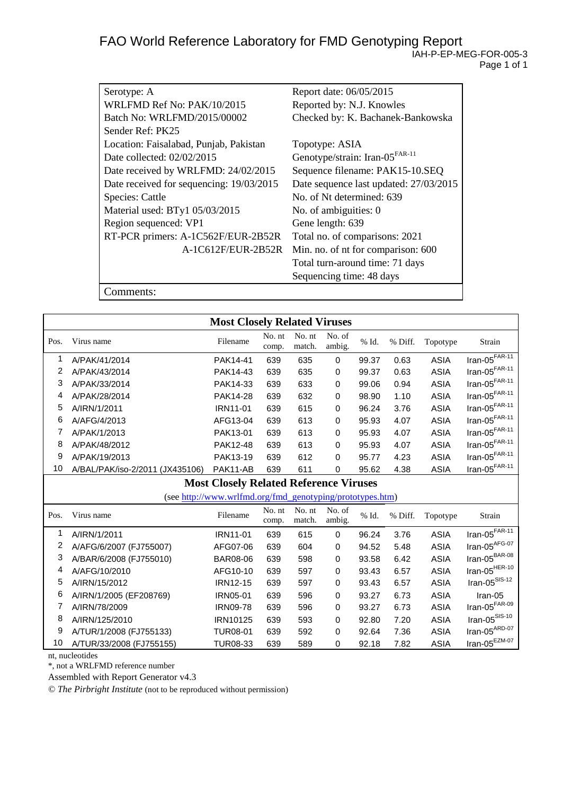| Serotype: A                              | Report date: 06/05/2015                    |
|------------------------------------------|--------------------------------------------|
| WRLFMD Ref No: PAK/10/2015               | Reported by: N.J. Knowles                  |
| Batch No: WRLFMD/2015/00002              | Checked by: K. Bachanek-Bankowska          |
| Sender Ref: PK25                         |                                            |
| Location: Faisalabad, Punjab, Pakistan   | Topotype: ASIA                             |
| Date collected: 02/02/2015               | Genotype/strain: Iran-05 <sup>FAR-11</sup> |
| Date received by WRLFMD: 24/02/2015      | Sequence filename: PAK15-10.SEQ            |
| Date received for sequencing: 19/03/2015 | Date sequence last updated: 27/03/2015     |
| Species: Cattle                          | No. of Nt determined: 639                  |
| Material used: BTy1 05/03/2015           | No. of ambiguities: 0                      |
| Region sequenced: VP1                    | Gene length: 639                           |
| RT-PCR primers: A-1C562F/EUR-2B52R       | Total no. of comparisons: 2021             |
| A-1C612F/EUR-2B52R                       | Min. no. of nt for comparison: 600         |
|                                          | Total turn-around time: 71 days            |
|                                          | Sequencing time: 48 days                   |
| Comments:                                |                                            |

**Most Closely Related Viruses** Pos. Virus name No. nt comp. No. nt match. No. of ambig. % Id. % Diff. Topotype Strain 1 A/PAK/41/2014 PAK14-41 639 635 0 99.37 0.63 ASIA Iran-05FAR-11 2 A/PAK/43/2014 PAK14-43 639 635 0 99.37 0.63 ASIA Iran-05FAR-11 3 A/PAK/33/2014 PAK14-33 639 633 0 99.06 0.94 ASIA Iran-05<sup>FAR-11</sup><br>4 A/PAK/28/2014 PAK14-28 639 632 0 98.90 1.10 ASIA Iran-05<sup>FAR-11</sup> 4 A/PAK/28/2014 PAK14-28 639 632 0 98.90 1.10 ASIA 5 A/IRN/1/2011 IRN11-01 639 615 0 96.24 3.76 ASIA Iran-05<sup>FAR-11</sup><br>6 A/AFG/4/2013 AFG13-04 639 613 0 95.93 4.07 ASIA Iran-05<sup>FAR-11</sup> 6 A/AFG/4/2013 AFG13-04 639 613 0 95.93 4.07 ASIA Iran-05<sup>FAR-11</sup> 7 A/PAK/1/2013 PAK13-01 639 613 0 95.93 4.07 ASIA Iran-05FAR-11 8 A/PAK/48/2012 PAK12-48 639 613 0 95.93 4.07 ASIA Iran-05<sup>FAR-11</sup><br>9 A/PAK/19/2013 PAK13-19 639 612 0 95.77 4 23 ASIA Iran-05<sup>FAR-11</sup> 9 A/PAK/19/2013 PAK13-19 639 612 0 95.77 4.23 ASIA Iran-05FAR-11 10 A/BAL/PAK/iso-2/2011 (JX435106) PAK11-AB 639 611 0 95.62 4.38 ASIA **Most Closely Related Reference Viruses** (se[e http://www.wrlfmd.org/fmd\\_genotyping/prototypes.htm\)](http://www.wrlfmd.org/fmd_genotyping/prototypes.htm) Pos. Virus name No. nt comp. No. nt match. No. of ambig. % Id. % Diff. Topotype Strain 1 A/IRN/1/2011 IRN11-01 639 615 0 96.24 3.76 ASIA Iran-05FAR-11 2 A/AFG/6/2007 (FJ755007) AFG07-06 639 604 0 94.52 5.48 ASIA Iran-05AFG-07 3 A/BAR/6/2008 (FJ755010) BAR08-06 639 598 0 93.58 6.42 ASIA

| 4  | A/AFG/10/2010            | AFG10-10        | 639 | 597 | 0 | 93.43 | 6.57 | ASIA | Iran-05 <sup>HER-10</sup>     |
|----|--------------------------|-----------------|-----|-----|---|-------|------|------|-------------------------------|
| 5  | A/IRN/15/2012            | <b>IRN12-15</b> | 639 | 597 | 0 | 93.43 | 6.57 | ASIA | Iran-05 $S$ <sup>SIS-12</sup> |
| 6  | A/IRN/1/2005 (EF208769)  | <b>IRN05-01</b> | 639 | 596 | 0 | 93.27 | 6.73 | ASIA | Iran-05                       |
|    | A/IRN/78/2009            | <b>IRN09-78</b> | 639 | 596 | 0 | 93.27 | 6.73 | ASIA | Iran-05FAR-09                 |
|    | A/IRN/125/2010           | IRN10125        | 639 | 593 | 0 | 92.80 | 7.20 | ASIA | Iran- $05^{\text{SIS-10}}$    |
| 9  | A/TUR/1/2008 (FJ755133)  | <b>TUR08-01</b> | 639 | 592 | 0 | 92.64 | 7.36 | ASIA | Iran-05 <sup>ARD-07</sup>     |
| 10 | A/TUR/33/2008 (FJ755155) | TUR08-33        | 639 | 589 | 0 | 92.18 | 7.82 | ASIA | Iran-05EZM-07                 |

nt, nucleotides

\*, not a WRLFMD reference number

Assembled with Report Generator v4.3